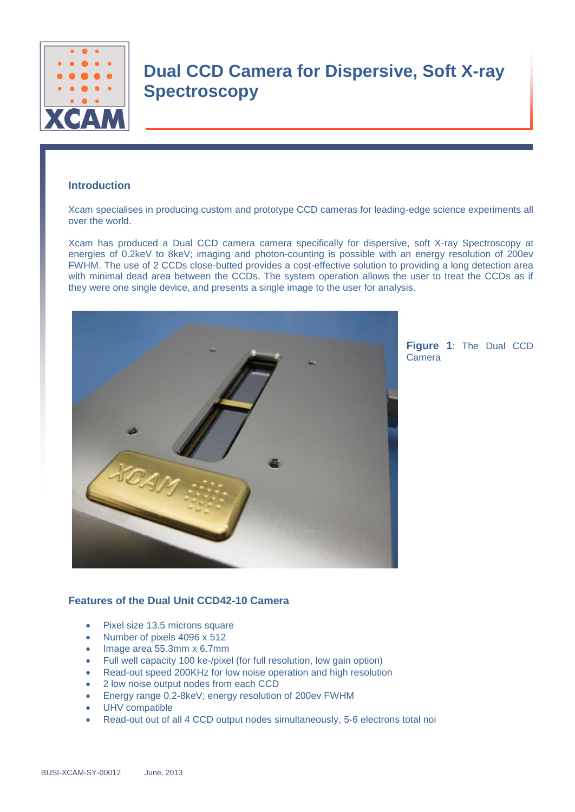

# **Dual CCD Camera for Dispersive, Soft X-ray Spectroscopy**

### **Introduction**

Xcam specialises in producing custom and prototype CCD cameras for leading-edge science experiments all over the world.

Xcam has produced a Dual CCD camera camera specifically for dispersive, soft X-ray Spectroscopy at energies of 0.2keV to 8keV; imaging and photon-counting is possible with an energy resolution of 200ev FWHM. The use of 2 CCDs close-butted provides a cost-effective solution to providing a long detection area with minimal dead area between the CCDs. The system operation allows the user to treat the CCDs as if they were one single device, and presents a single image to the user for analysis.



**Figure 1**: The Dual CCD Camera

#### **Features of the Dual Unit CCD42-10 Camera**

- Pixel size 13.5 microns square
- Number of pixels 4096 x 512
- $\bullet$  Image area 55.3mm x 6.7mm
- Full well capacity 100 ke-/pixel (for full resolution, low gain option)
- Read-out speed 200KHz for low noise operation and high resolution
- 2 low noise output nodes from each CCD
- Energy range 0.2-8keV; energy resolution of 200ev FWHM
- UHV compatible
- Read-out out of all 4 CCD output nodes simultaneously, 5-6 electrons total noi